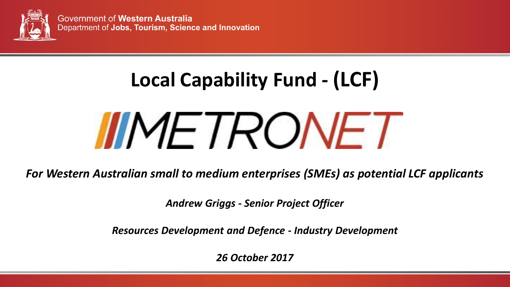

# **Local Capability Fund - (LCF) IIMETRONET**

*For Western Australian small to medium enterprises (SMEs) as potential LCF applicants*

*Andrew Griggs - Senior Project Officer*

*Resources Development and Defence - Industry Development* 

*26 October 2017*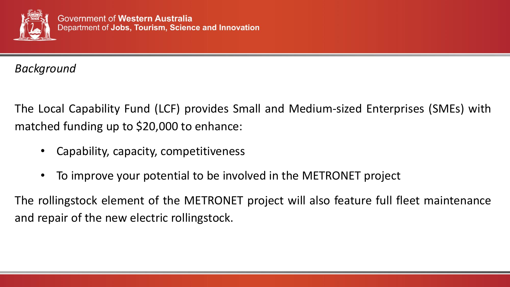

*Background*

The Local Capability Fund (LCF) provides Small and Medium-sized Enterprises (SMEs) with matched funding up to \$20,000 to enhance:

- Capability, capacity, competitiveness
- To improve your potential to be involved in the METRONET project

The rollingstock element of the METRONET project will also feature full fleet maintenance and repair of the new electric rollingstock.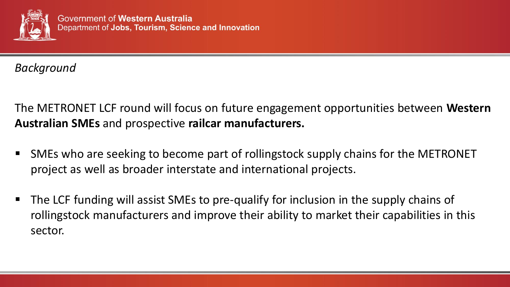

*Background*

The METRONET LCF round will focus on future engagement opportunities between **Western Australian SMEs** and prospective **railcar manufacturers.**

- SMEs who are seeking to become part of rollingstock supply chains for the METRONET project as well as broader interstate and international projects.
- The LCF funding will assist SMEs to pre-qualify for inclusion in the supply chains of rollingstock manufacturers and improve their ability to market their capabilities in this sector.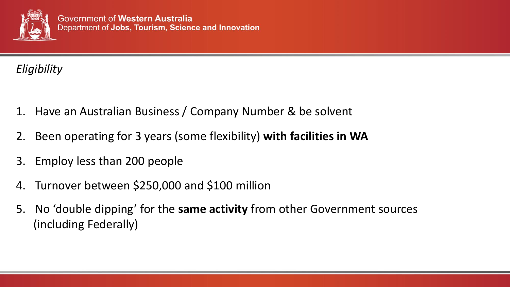

### *Eligibility*

- 1. Have an Australian Business / Company Number & be solvent
- 2. Been operating for 3 years (some flexibility) **with facilities in WA**
- 3. Employ less than 200 people
- 4. Turnover between \$250,000 and \$100 million
- 5. No 'double dipping' for the **same activity** from other Government sources (including Federally)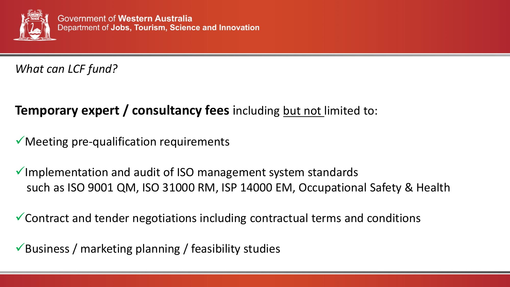

*What can LCF fund?*

## **Temporary expert / consultancy fees** including but not limited to:

 $\checkmark$  Meeting pre-qualification requirements

 $\checkmark$  Implementation and audit of ISO management system standards such as ISO 9001 QM, ISO 31000 RM, ISP 14000 EM, Occupational Safety & Health

 $\checkmark$  Contract and tender negotiations including contractual terms and conditions

 $\checkmark$  Business / marketing planning / feasibility studies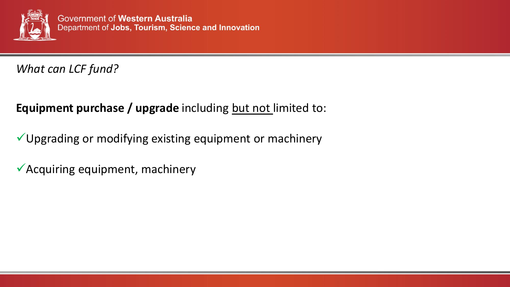

#### *What can LCF fund?*

### **Equipment purchase / upgrade** including but not limited to:

- $\checkmark$  Upgrading or modifying existing equipment or machinery
- $\checkmark$  Acquiring equipment, machinery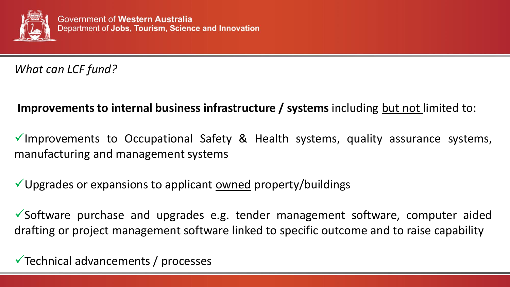

*What can LCF fund?*

#### **Improvements to internal business infrastructure / systems** including but not limited to:

Improvements to Occupational Safety & Health systems, quality assurance systems, manufacturing and management systems

Upgrades or expansions to applicant owned property/buildings

 $\checkmark$  Software purchase and upgrades e.g. tender management software, computer aided drafting or project management software linked to specific outcome and to raise capability

 $\checkmark$  Technical advancements / processes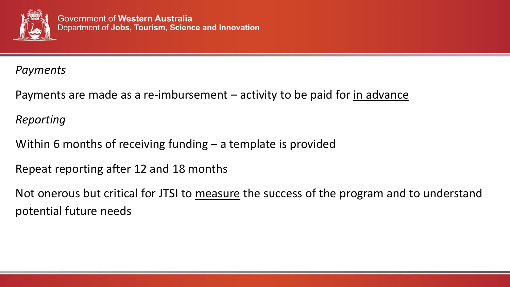

#### *Payments*

Payments are made as a re-imbursement – activity to be paid for in advance

#### *Reporting*

Within 6 months of receiving funding – a template is provided

Repeat reporting after 12 and 18 months

Not onerous but critical for JTSI to measure the success of the program and to understand potential future needs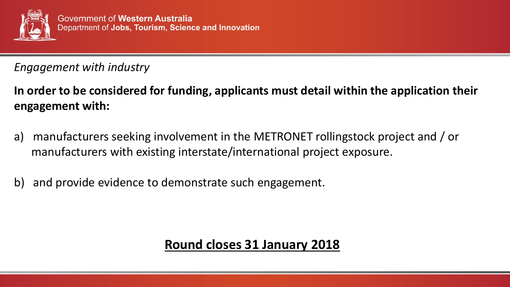

#### *Engagement with industry*

**In order to be considered for funding, applicants must detail within the application their engagement with:**

- a) manufacturers seeking involvement in the METRONET rollingstock project and / or manufacturers with existing interstate/international project exposure.
- b) and provide evidence to demonstrate such engagement.

## **Round closes 31 January 2018**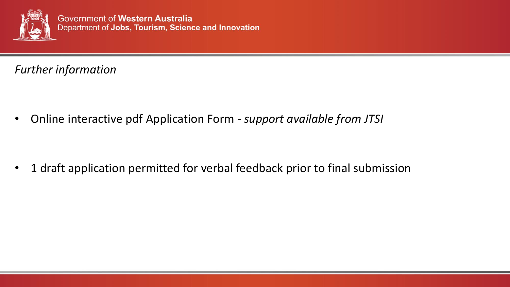

*Further information* 

• Online interactive pdf Application Form - *support available from JTSI*

• 1 draft application permitted for verbal feedback prior to final submission